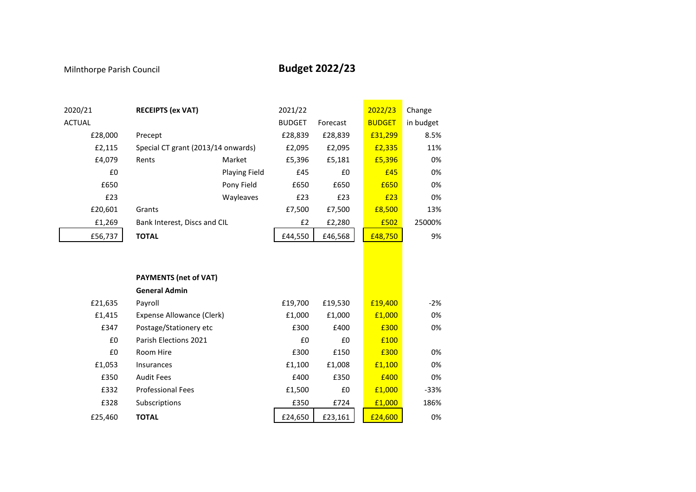## Milnthorpe Parish Council **Budget 2022/23**

| 2020/21       | <b>RECEIPTS (ex VAT)</b>           |               | 2021/22       |          | 2022/23       | Change    |
|---------------|------------------------------------|---------------|---------------|----------|---------------|-----------|
| <b>ACTUAL</b> |                                    |               | <b>BUDGET</b> | Forecast | <b>BUDGET</b> | in budget |
| £28,000       | Precept                            |               | £28,839       | £28,839  | £31,299       | 8.5%      |
| £2,115        | Special CT grant (2013/14 onwards) |               | £2,095        | £2,095   | £2,335        | 11%       |
| £4,079        | Rents                              | Market        | £5,396        | £5,181   | £5,396        | 0%        |
| £0            |                                    | Playing Field | £45           | £0       | £45           | 0%        |
| £650          |                                    | Pony Field    | £650          | £650     | £650          | 0%        |
| £23           |                                    | Wayleaves     | £23           | £23      | £23           | 0%        |
| £20,601       | Grants                             |               | £7,500        | £7,500   | £8,500        | 13%       |
| £1,269        | Bank Interest, Discs and CIL       |               | £2            | £2,280   | £502          | 25000%    |
| £56,737       | <b>TOTAL</b>                       |               | £44,550       | £46,568  | £48,750       | 9%        |
|               |                                    |               |               |          |               |           |
|               |                                    |               |               |          |               |           |
|               | <b>PAYMENTS (net of VAT)</b>       |               |               |          |               |           |
|               | <b>General Admin</b>               |               |               |          |               |           |
| £21,635       | Payroll                            |               | £19,700       | £19,530  | £19,400       | $-2%$     |
| £1,415        | <b>Expense Allowance (Clerk)</b>   |               | £1,000        | £1,000   | £1,000        | 0%        |
| £347          | Postage/Stationery etc             |               | £300          | £400     | £300          | 0%        |
| £0            | Parish Elections 2021              |               | £0            | £0       | £100          |           |
| £0            | Room Hire                          |               | £300          | £150     | £300          | 0%        |
| £1,053        | Insurances                         |               | £1,100        | £1,008   | £1,100        | 0%        |
| £350          | <b>Audit Fees</b>                  |               | £400          | £350     | £400          | 0%        |
| £332          | <b>Professional Fees</b>           |               | £1,500        | £0       | £1,000        | $-33%$    |
| £328          | Subscriptions                      |               | £350          | £724     | £1,000        | 186%      |
| £25,460       | <b>TOTAL</b>                       |               | £24,650       | £23,161  | £24,600       | 0%        |